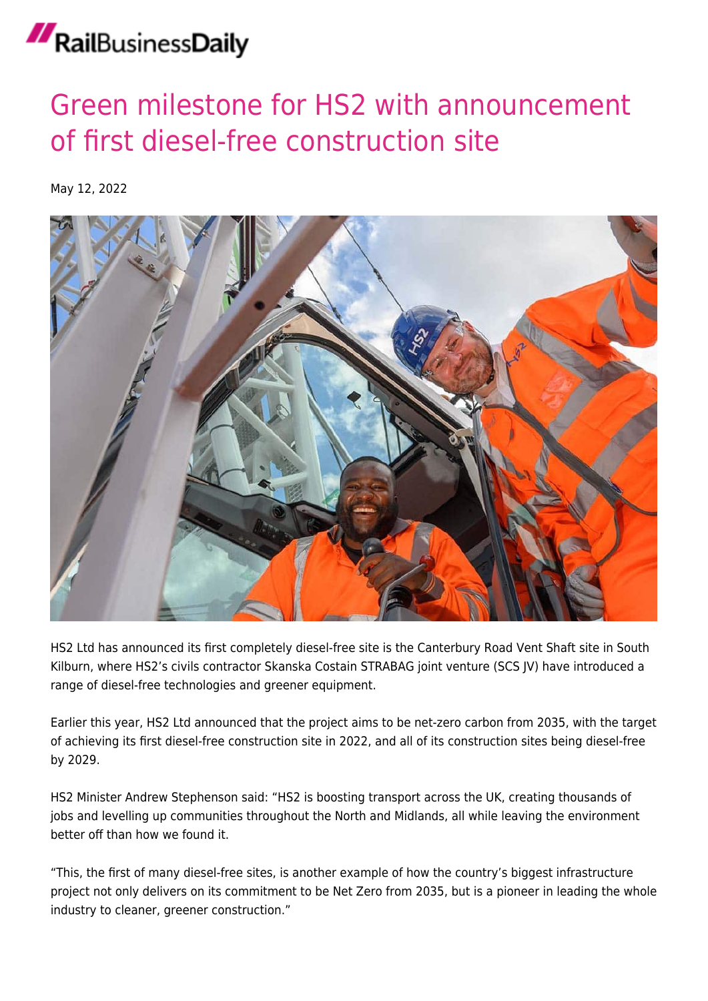## RailBusinessDaily

## [Green milestone for HS2 with announcement](https://news.railbusinessdaily.com/green-milestone-for-hs2-with-announcement-of-first-diesel-free-construction-site/) [of first diesel-free construction site](https://news.railbusinessdaily.com/green-milestone-for-hs2-with-announcement-of-first-diesel-free-construction-site/)

May 12, 2022



HS2 Ltd has announced its first completely diesel-free site is the Canterbury Road Vent Shaft site in South Kilburn, where HS2's civils contractor Skanska Costain STRABAG joint venture (SCS JV) have introduced a range of diesel-free technologies and greener equipment.

Earlier this year, HS2 Ltd announced that the project aims to be net-zero carbon from 2035, with the target of achieving its first diesel-free construction site in 2022, and all of its construction sites being diesel-free by 2029.

HS2 Minister Andrew Stephenson said: "HS2 is boosting transport across the UK, creating thousands of jobs and levelling up communities throughout the North and Midlands, all while leaving the environment better off than how we found it.

"This, the first of many diesel-free sites, is another example of how the country's biggest infrastructure project not only delivers on its commitment to be Net Zero from 2035, but is a pioneer in leading the whole industry to cleaner, greener construction."